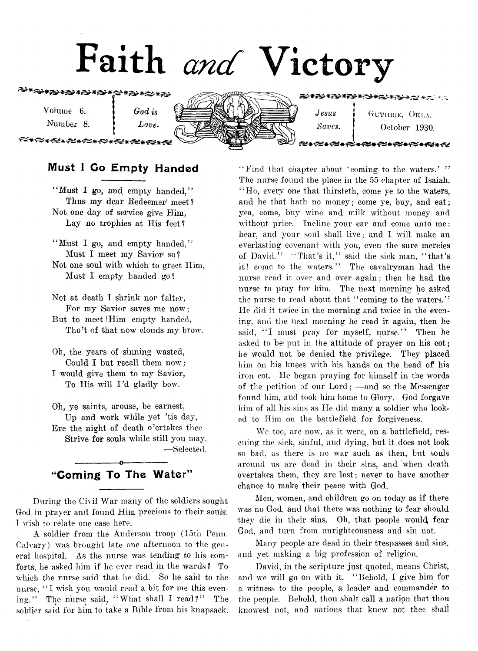# **Faith** *and* **Victory**

**€★☆€★☆€★☆€★☆€≠☆€≠☆€≠☆€**★☆

Volume 6. | *God is* Number 8. *Love*.

★☆☆★☆★☆★☆★☆★☆

Jesus GUTHRIE, OKLA. Saves. **October 1930.** 

<del>⋠⋦⋧⋡⋞⋸⋡⋠⋸⋇⋷⋵⋇⋲</del>⋵

## Must I Go Empty Handed

"Must I go, and empty handed." Thus my dear Redeemer' meet? Not one day of service give Him, Lay no trophies at His feet?

"Must I go, and empty handed," Must I meet my Savior'so? Not one soul with which to greet Him, Must I empty handed go?

Not at death I shrink nor falter, For my Savior saves me now; But to meet iHim empty handed, Tho't of that now clouds my brow.

Oh, the years of sinning wasted, Could I but recall them now ; I would give them to my Savior, To His will I'd gladly bow.

Oh, ye saints, arouse, be earnest, Up and work while yet 'tis day, Ere the night of death o'ertakes thee Strive for souls while still you may. •—Selected.

## -----------------o----------------- "Coming To The Water"

During the Civil War many of the soldiers sought God in prayer and found Him precious to their souls. I wish to relate one case here.

A soldier from the Anderson troop (15th Penn. Calvary) was brought late one afternoon to the general hospital. As the nurse was tending to his comforts, he asked him if lie ever read in the wards? To which the nurse said that he did. So he said to the nurse, "I wish you would read a bit for me this evening." The nurse said, "What shall I read?" The soldier said for him to take a Bible from his knapsack.

" Find that chapter about 'coming to the waters.' " The nurse found the place in the 55 chapter of Isaiah. "Ho, every one that thirsteth, come ye to the waters, and he that hath no money; come ye, buy, and eat; yea, come, buy wine and milk without money and without price. Incline your ear and come unto me: hear, and your soul shall live; and I will; make an everlasting covenant with you, even the sure mercies of David." "That's it," said the sick man, "that's it! come to the waters." The cavalryman had the nurse read it over and over again; then he had the nurse to pray for him. The next morning he asked the nurse to read about that "coming to the waters." He did it twice in the morning and twice in the evening, and the next morning he read it again, then he said, "I must pray for myself, nurse." Then he asked to be put in the attitude of prayer on his cot; he would not be denied the privilege. They placed him on his knees with his hands on the head of his iron cot. He began praying for himself in the words of the petition of our Lord; — and so the Messenger found him, and took him home to Glory. God forgave him of all his sins as He did many a soldier who looked to Him on the battlefield for forgiveness.

We too, are now, as it were, on a battlefield, rescuing the sick, sinful, and dying, but it does not look so bad, as there is no war such as then, but souls around us are dead in their sins, and when death overtakes them, they are lost; never to have another chance to make their peace with God.

Men, women, and children go on today as if there was no God, and that there was nothing to fear should they die in their sins. Oh, that people would, fear God, and turn from unrighteousness and sin not.

Many people are dead in their trespasses and sins, and yet making a big profession of religion.

David, in the scripture just quoted, means Christ, and we will go on with it, " Behold, I give him for a witness to the people, a leader and commander to the people. Behold, thou shalt call a nation that thou knowest not, and nations that knew not thee shall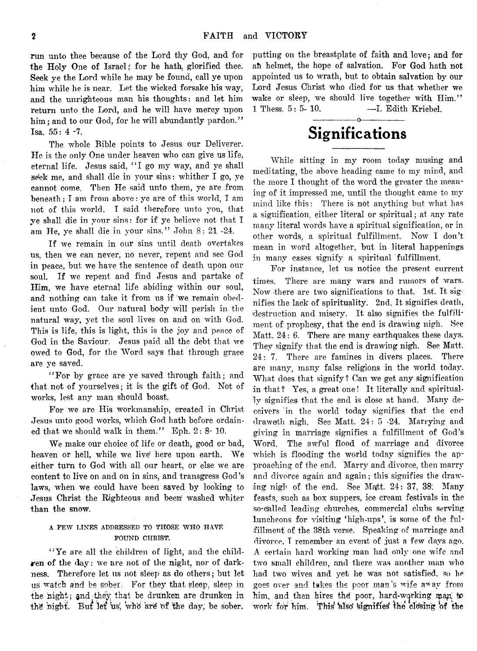run unto thee because of the Lord thy God, and for the Holy One of Israel; for he hath, glorified thee. Seek ye the Lord while he may be found, call ye upon him while he is near. Let the wicked forsake his way, and the unrighteous man his thoughts: and let him return unto the Lord, and he will have mercy upon him; and to our God, for he will abundantly pardon." Isa. 55: 4 -7.

The whole Bible points to Jesus our Deliverer. He is the only One under heaven who can give us life, eternal life. Jesus said, "I go my way, and ye shall seek me, and shall die in your sins: whither I go, ye cannot come. Then He said unto them, ye are from beneath; I am from above: ye are of this world, I am not of this world. I said therefore unto you, that ye shall die in your sins: for if ye believe not that I am He, ye shall die in your sins." John 8: 21 -24.

If we remain in our sins until death overtakes us, then we can never, no never, repent and see God in peace, but we have the sentence of death upon our soul. If we repent and find Jesus and partake of Him, we have eternal life abiding within our soul, and nothing can take it from us if we remain obedient unto God. Our natural body will perish in the natural way, yet the soul lives on and on with God. This is life, this is light, this is the joy and peace of God in the Saviour. Jesus paid all the debt that we owed to God, for the Word says that through grace are ye saved.

"For by grace are ye saved through faith; and that not of yourselves; it is the gift of God. Not of works, lest any man should boast.

For we are His workmanship, created in Christ Jesus unto good works, which God hath before ordained that we should walk in them." Eph. 2: 8- 10.

We make our choice of life or death, good or bad, heaven or hell, while we live here upon earth. We either turn to God with all our heart, or else we are content to live on and on in sins, and transgress God's laws, when we could have been saved by looking to Jesus Christ the Righteous and been washed whiter than the snow.

#### **A FEW LINES ADDRESSED TO THOSE WHO HAVE FOUND CHRIST.**

"'Ye are all the children of light, and the children of the day: we are not of the night, nor of darkness. Therefore let us not sleep as do others; but let us watch and be sober. For they that sleep, sleep in the night; and they that be drunken are drunken in the night. But let us, who are of the day, be sober,

putting on the breastplate of faith and love; and for ah helmet, the hope of salvation. For God hath not appointed us to wrath, but to obtain salvation by our Lord Jesus Christ who died for us that whether we wake or sleep, we should live together with Him." 1 Thess. 5: 5- 10. —I. Edith Kriebel.

## $\overline{\phantom{a}}$  o  $\overline{\phantom{a}}$ Significations

While sitting in my room today musing and meditating, the above heading came to my mind, and the more I thought of the word the greater the meaning of it impressed me, until the thought came to my mind like this: There is not anything but what has a signification, either literal or spiritual; at any rate many literal words have a spiritual signification, or in other words, a spiritual fulfillment. Now I don't mean in word altogether, but in literal happenings in many cases signify a spiritual fulfillment.

For instance, let us notice the present current times. There are many wars and rumors of wars. Now there are two significations to that. 1st. It signifies the lack of spirituality. 2nd. It signifies death, destruction and misery. It also signifies the fulfillment of prophesy, that the end is drawing nigh. See Matt. 24: 6. There are many earthquakes these days. They signify that the end is drawing nigh. See Matt, 24: 7. There are famines in divers places. There are many, many false religions in the world today. What does that signify ? Can we get any signification in that? Yes, a great one! It literally and spiritually signifies that the end is close at hand. Many deceivers in the world today signifies that the end drawefth nigh. See Matt. 24: 5 -24. Marrying and giving in marriage signifies a fulfillment of God's Word. The awful flood of marriage and divorce which is flooding the world today signifies the approaching of the end. Marry and divorce, then marry and divorce again and again; this signifies the drawing nigh of the end. See Matt. 24: 37, 38. Many feasts, such as box suppers, ice cream festivals in the so-dalled leading churches, commercial clubs serving luncheons for visiting 'high-ups', is some of the fulfillment of the 38th verse. Speaking of marriage and divorce, T remember an event of just a few days ago. A certain hard working man had only one wife and two small children, and there was another man who had two wives and yet he was not satisfied, so he goes over and takes the poor man's wife away from him, and then hires the poor, hard-working man to work for him. This also signifies the closing of the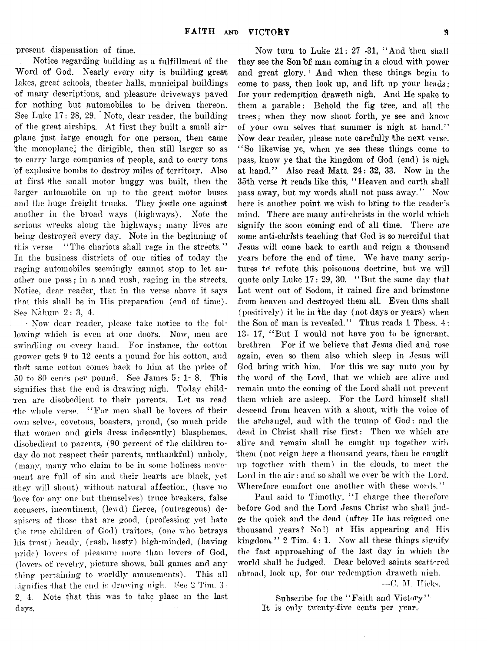present dispensation of time.

Notice regarding building as a fulfillment of the Word of God. Nearly every city is building great lakes, great schools, theater halls, municipal buildings of many descriptions, and pleasure driveways paved for nothing but automobiles to be driven thereon. See Luke 17: 28, 29. Note, dear reader, the building of the great airships. At first they built a small airiplane just large enough for one person, then came the monoplane, the dirigible, then still larger so as to carry large companies of people, and to carry tons of explosive bombs to destroy miles of territory. Also at first /the small motor buggy was built, then the 'larger automobile on up to the great motor buses and the huge freight trucks. They jostle one against another in the broad ways (highways). Note the serious wrecks along the highways; many lives are being destroyed every day. Note in the beginning of this verse "The chariots shall rage in the streets." In the business districts of our cities of today the raging automobiles seemingly cannot stop to let another one pass; in a mad rush, raging in the streets. Notice, dear reader, that in the verse above it says that this shall be in His preparation (end of time). See Nahum 2: 3, 4.

• Now dear reader, please take notice to the following which is even at our doors. Now, men are swindling on every hand. For instance, the cotton grower gets 9 to 12 cents a pound for his cotton, and thaft same cotton comes back to him at the price of  $50$  to  $80$  cents per pound. See James  $5:1-8$ . This signifies that the end is drawing nigh. Today children are disobedient to their parents. Let us read the whole verse, "For men shall be lovers of their own selves, covetous, boasters, proud, (so much pride that women and girls dress indecently) blasphemes, disobedient to parents, (90 percent of the children today do not respect their parents, unthankful) unholy, (many, many who claim to be in some holiness movement are full of sin and their hearts are black, yet •they will shout) without natural affection, (have no 'love for any one but themselves) truce breakers, false accusers, incontinent, (lewd) fierce, (outrageous) despisers of those that are good, (professing yet hate the true children of God) traitors, (one who betrays his trust) heady, (rash, hasty) high-minded, (having pride) lovers of pleasure more than lovers of God, (lovers of revelry, picture shows, ball games and any thing pertaining to worldly amusements). This all signifies that the end is drawing nigh, See 2 Tim. 3: 2, 4. Note that this was to take place in the last days.

Now turn to Luke  $21: 27$  -31, "And then shall they see the Son of man coming in a cloud with power and great glory.<sup>1</sup> And when these things begin to come to pass, then look up, and lift up your heads; for your redemption draweth nigh. And He spake to them a parable: Behold the fig tree, and all the trees; when they now shoot forth, ye see and know' of your own selves that summer is nigh at hand." Now dear reader, please note carefully the next verse. "So likewise ye, when ye see these things come to pass, know ye that the kingdom of God (end) is nigh at hand." Also read Matt. 24: 32, 33. Now in the 35th verse it reads like this, "Heaven and earth shall pass away, but my words shall not pass away." Now here is another point we wish to bring to the reader's mind. There are many anti-christs in the world which signify the soon coming end of all time. There are some anti-christs teaching that God is so merciful that Jesus will come back to earth and reign a thousand years before the end of time. We have many scriptures to refute this poisonous doctrine, but we will quote only Luke  $17: 29, 30.$  "But the same day that Lot went out of Sodom, it rained fire and brimstone from heaven and destroyed them all. Even thus shall (positively) it be in the day (not days or years) when the Son of man is revealed." Thus reads 1 Thess. 4: 13- 17, "But I would not have you to be ignorant, brethren For if we believe that Jesus died and rose again, even so them also which sleep in Jesus will God bring with him. For this we say unto you by the word of the Lord, that we which are alive and remain unto the coming of the Lord shall not prevent them which are asleep. For the Lord himself shall descend from heaven with a shout, with the voice of the archangel, and with the trump of God: and the dead in Christ shall rise first: Then we which are alive and remain shall be caught up together with them (not reign here a thousand years, then be caught up together with them) in the clouds, to meet the Lord in the air: and so shall we ever be with the Lord. Wherefore comfort one another with these words."

Paul said to Timothy, "I charge thee therefore before God and the Lord Jesus Christ who shall judge the quick and the dead (after He has reigned one 'thousand years? No!) at His appearing and His kingdom."  $2$  Tim.  $4:1$ . Now all these things signify the fast approaching of the last day in which the world shall be judged. Dear beloved saints scattered abroad, look up, for our redemption draweth nigh.

--C. M. Hicks,

Subscribe for the "Faith and Victory" It is only twenty-five cents per year.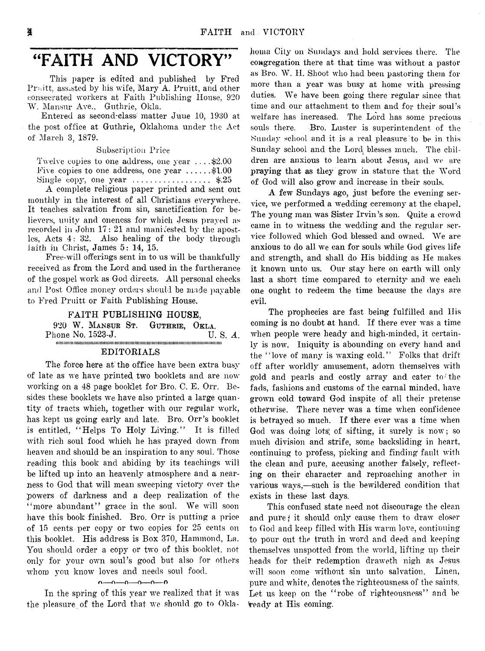# "FAITH AND VICTORY"

This paper is edited and published by Fred Pruitt, assisted by his wife, Mary A. Pruitt, and other consecrated workers at Faith Publishing House, 920 W. Mansur Ave., Guthrie, Okla.

Entered as second-class matter June 10, 1930 at the post office at Guthrie, Oklahoma under the Act of March 3, 1879.

Subscription Price

Twelve copies to one address, one year . . . .\$2.00 Five copies to one address, one year  $\dots$ ......\$1.00 Single copy, one year  $\dots\dots\dots\dots\dots$ . \$.25

A complete religious paper printed and sent out monthly in the interest of all Christians everywhere. It teaches salvation from sin, sanctification for believers, unity and oneness for which Jesus prayed as recorded in John 17: 21 and manifested by the apostles, Acts 4: 32. Also healing of the body through faith in Christ, James 5: 14, 15.

Free-will offerings sent in to us will be thankfully received as from the Lord and used in the furtherance of the gospel work as God directs. All personal checks and Post Office money orders should be made payable to Fred Pruitt or Faith Publishing House.

#### FAITH PUBLISHING HOUSE,

920 W. **Mansur** St. **Guthrie, Okla.** Phone No. 1523-J. iim imiiiiiiim iiiiiiiiimiiiiiiiiiiiiiiiiiiiimiiiiimiiiiiiiimiitiiiimiiiiimiimimimiimiimiiiiiiimi EDITORIALS

The force here at the office have been extra busy of late as we have printed, two booklets and are now working on a 48 page booklet for Bro. C. E. Orr. Besides these booklets we have also printed a large quantity of tracts which, together with our regular work, has kept us going early and late. Bro. Orr's booklet is entitled, "Helps To Holy Living." It is filled with rich soul food which he has prayed down from heaven and should be an inspiration to any soul. Those reading this book and abiding by its teachings will be lifted up into an heavenly atmosphere and a nearness to God that will mean sweeping victory over the powers of darkness and a deep realization of the "more abundant" grace in the soul. We will soon have this book finished. Bro. Orr is putting a price of 15 cents per copy or two copies for 25 cents on this booklet. His address is Box 370, Hammond, La. You should order a copy or two of this booklet, not only for your own soul's good but also for others whom you know loves and needs soul food.

 $n = 0 - 0 - 0 - 0 - 0$ 

In the spring of this year we realized that it was the pleasure of the Lord that we should go to Oklahoma City on Sundays and hold services there. The congregation there at that time was without a pastor as Bro. W. H. Shoot who had been pasturing them for more than a year was busy at home with pressing duties. We have been going there regular since that time and our attachment to them and for their soul's welfare has increased. The Lord has some precious souls there. Bro. Luster is superintendent of the Sunday school and it is a real pleasure to be in this Sunday school and the Lord blesses much. The children are anxious to learn about Jesus, and we are praying that as they grow in stature that the Word of God will also grow and increase in their souls.

A few Sundays ago, just before the evening service, we performed a wedding ceremony at the chapel. The young man was Sister Irvin's son. Quite a crowd came in to witness the wedding and the regular service followed which God blessed and owned. We are anxious to do all we can for souls while God gives life and strength, and shall do His bidding as He makes it known unto us. Our stay here on earth will only last a short time compared to eternity and we each one ought to redeem the time because the days are evil.

The prophecies are fast being fulfilled and His coming is no doubt at hand. If there ever was a time when people were heady and high-minded, it certainly is now. Iniquity is abounding on every hand and the "love of many is waxing cold." Folks that drift off after worldly amusement, adorn themselves with gold and pearls and costly array and cater to'the fads, fashions and customs of the carnal minded, have grown cold toward God inspite of all their pretense otherwise. There never was a time when confidence is betrayed so much. If there ever was a time when God was doing lots; of sifting, it surely is now; so much division and strife, some backsliding in heart, continuing to profess, picking and finding fault with the clean and pure, accusing another falsely, reflecting on their character and reproaching another in various ways,— such is the bewildered condition that exists in these last days.

This confused state need not discourage the clean and pure *j* it should only cause them to draw closer to God and keep filled with His warm love, continuing to pour out the truth in word and deed and keeping themselves unspotted from the world, lifting up their heads for their redemption draweth nigh as Jesus will soon come without sin unto salvation. Linen, pure and white, denotes the righteousness of the saints. Let us keep on the "robe of righteousness" and be ^eadjr at His coming.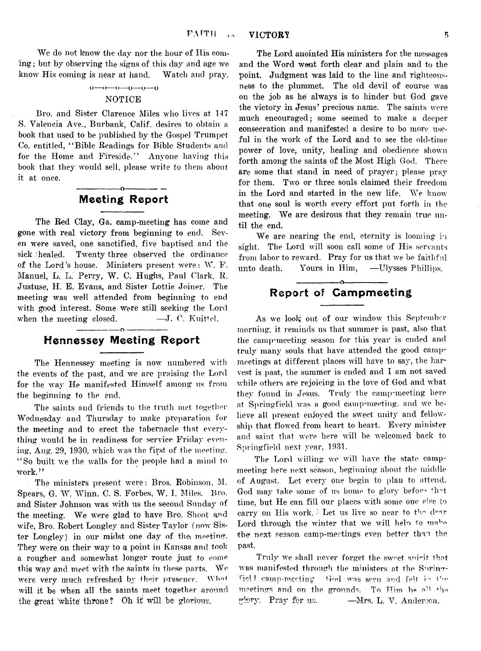We do not know the day nor the hour of His coming; but by observing the signs of this day and age we know His coming is near at hand. Watch and pray,

#### $0 \rightarrow 0 \rightarrow 0 \rightarrow 0 \rightarrow 0$

#### NOTICE

Bro. and Sister Clarence Miles who lives at 147 S. Valencia Ave., Burbank, Calif, desires to obtain a book that used to be published by the Gospel Trumpet Co. entitled, " Bible Readings for Bible Students and for the Home and Fireside." Anyone having this book that they would sell, please write to them about it at once.

## ---------------- o---------------- Meeting Report

The Red Clay, Ga, camp-meeting has come and gone with real victory from beginning to end. Seven were saved, one sanctified, five baptised and the sick healed. Twenty three observed the ordinance of the Lord's house. Ministers present were: W. F. Manuel, L. L. Perry, W. C. Hughs, Paul Clark, R. Justuse, H. E. Evans, and Sister Lottie Joiner. The meeting was well attended from beginning to end with good interest. Some were still seeking the Lord when the meeting closed.  $\qquad \qquad \qquad \text{---}J$ . C. Kuittel.

## —-------------- o---------------- Hennessey Meeting Report

The Hennessey meeting is now numbered with the events of the past, and we are praising the Lord for the way He manifested Himself among us from the beginning to the end.

The saints and friends to the truth met together Wednesday and Thursday to make preparation for the meeting and to erect the tabernacle that everything would be in readiness for service Friday evening, Aug. 29, 1930, which was the first of the meeting. " So built we the walls for the people had a mind to work."

The ministers present were: Bros. Robinson. M. Spears, G. W. Winn. C. S. Forbes, W. I. Miles. Bro. and Sister Johnson was with us the second Sunday of the meeting. We were glad to have Bro. Shoot and wife, Bro. Robert Longley and Sister Taylor (now Sister Longley) in our midst one day of the meeting. They were on their way to a point in Kansas and took a rougher and somewhat longer route just to come this way and meet with the saints in these parts. We were very much refreshed by their presence. W*hnt* will it be when all the saints meet together around the great white throne? Oh it will be glorious.

The Lord anointed His ministers for the messages and the Word went forth clear and plain and to the point. Judgment was laid to the line and righteousness to the plummet. The old devil of course was on the job as *he* always is to hinder but God gave the victory in Jesus' precious name. The saints were much encouraged; some seemed to make a deeper consecration and manifested a desire to be more useful in the work of the Lord and to see the old-time power of love, unity, healing and obedience shown forth among the saints of the Most High God. There are some that stand in need of prayer; please pray for them. Two or three souls claimed their freedom in the Lord and started in the new life. We know that one soul is worth every effort put forth in the meeting. We are desirous that they remain true until the end.

We are nearing the end, eternity is looming in sight. The Lord will soon call some of His servants from labor to reward. Pray for us that we be faithful unto death. Yours in Him, --Ulysses Phillips.

## ---------------- o----------------- Report of Campmeeting

As we look out of our window this September **morning\*, it reminds us that summer is past, also that** the camp-meeting season for this year is ended and **truly many souls that have attended the good camp**meetings at different places will have to say, the har**vest is past, the summer is ended and I am not saved** while others are rejoicing in the love of God and what **they found in Jesus. Truly the camp-meeting here at Springfield was a good camp-meeting, and we be**lieve all present enjoyed the sweet unity and fellowship that flowed from heart to heart. Every minister and saint that were here will be welcomed back to **Springfield next year,** 1931.

The Lord willing we will have the state campmeeting here next season, beginning about the middle of August, Let every one begin to plan to attend. God may take some of us home to glory before that time, but He can fill our places with some one else to carry on His work. I Let us live so near to the dear Lord through the winter that we will help to malre the next season camp-meetings even better than the past.

Truly we shall never forget the sweet spirit that was manifested through the ministers at the Springliel camp-meeting God was seen and felt in the meetings and on the grounds. To Him be all the glory. Pray for us. —Mrs. L. V. Anderson.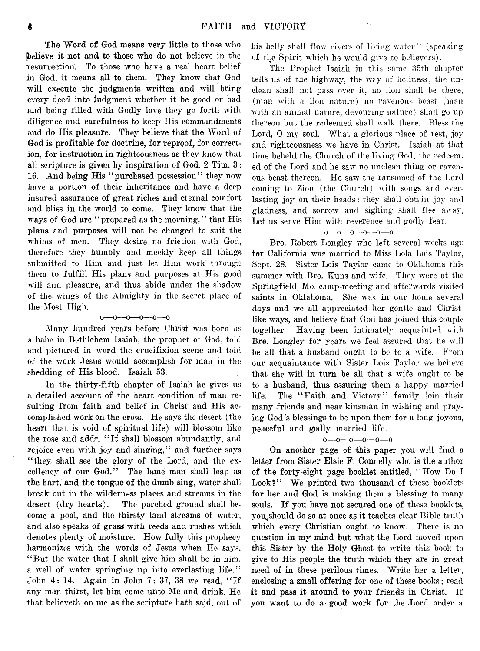The Word of God means very little to those who believe it not and to those who do not believe in the resurrection. To those who have a real heart belief in God, it means all to them. They know that God will execute the judgments written and will bring every deed into judgment whether it be good or bad and being filled with Godly love they go forth with diligence and carefulness to keep His commandments and do His pleasure. They believe that the Word of God is profitable for doctrine, for reproof, for correction, for instruction in righteousness as they know that all scripture is given by inspiration of God. 2 Tim. 3: 16. And being His "purchased possession" they now have a portion of their inheritance and have a deep insured assurance of great riches and eternal comfort and bliss in the world to come. They know that the ways of God are "prepared as the morning," that His plans and purposes will not be changed to suit the whims of men. They desire no friction with God, therefore they humbly and meekly keep all things submitted to Him and just let Him work through them to fulfill His plans and purposes at His good will and pleasure, and thus abide under the shadow of the wings of the Almighty in the secret place of the Most High.

#### o— o— o— o— o— o

Many hundred years before Christ was born as a babe in Bethlehem Isaiah, the prophet of God, told and pictured in word the crucifixion scene and told of the work Jesus would accomplish for man in the shedding of His blood. Isaiah 53.

In the thirty-fifth chapter of Isaiah he gives us a detailed account of the heart condition of man resulting from faith and belief in Christ and His accomplished work on the cross. He says the desert (the heart that is void of spiritual life) will blossom like the rose and addr, "It shall blossom abundantly, and rejoice even with joy and singing," and further says "they, shall see the glory of the Lord, and the excellency of our God." The lame man shall leap as the hart, and the tongue of the dumb sing, water shall break out in the wilderness places and streams in the desert (dry hearts). The parched ground shall become a pool, and the thirsty land streams of water, and also speaks of grass' with reeds and rushes which denotes plenty of moisture. How fully this prophecy harmonizes with the words of Jesus when He says, " But the water that I shall give him shall be in him, a well of water springing up into everlasting life." John 4: 14. Again in John 7: 37, 38 we read, " If any man thirst, let him come unto Me and drink. He that believeth on me as the scripture hath said, out of

his belly shall flow rivers of living water" (speaking of the Spirit which he would give to believers).

The Prophet Isaiah in this same 35th chapter tells us of the highway, the way of holiness; the unclean shall not pass over it, no lion shall be there, (man with a lion nature) no ravenous beast (man with an animal nature, devouring nature) shall go up thereon but the redeemed shall walk there. Bless the Lord, 0 my soul. What a glorious place of rest, joy and righteousness we have in Christ. Isaiah at that time beheld the Church of the living God, the redeem. ed of the Lord and he saw no unclean thing or ravenous beast thereon. He saw the ransomed of the Lord coming to Zion (the Church) with songs and everlasting joy on, their heads: they shall obtain joy and gladness, and sorrow and sighing shall flee away. Let us serve Him with reverence and godly fear.

#### $0 - 0 - 0 - 0 - 0$

Bro. Robert Longley who left several weeks ago for California was married to Miss Lola Lois Taylor, Sept. 28. Sister Lois Taylor came to Oklahoma this summer with Bro. Kuns and wife. They were at the Springfield, Mo. camp-meeting and afterwards visited saints in Oklahoma. She was in our home several days and we all appreciated her gentle and Christlike ways, and believe that God has joined this couple together. Having been intimately acquainted with Bro. Longley for years we feel assured that he will be all that a husband ought to be to a wife. From our acquaintance with Sister Lois Taylor we believe that she will in turn be all that a wife ought to be to a husband,! thus assuring them a happy married life. The "Faith and Victory" family join their many friends and near kinsman in wishing and praying God's blessings to be upon them for a long joyous, peaceful and godly married life.

#### $0 - 0 - 0 - 0 - 0$

On another page of this paper you will find a letter from Sister Elsie F. Connelly who is the author of the forty-eight page booklet entitled, " How Do I Look?" We printed two thousand of these booklets for her and God is making them a blessing to many souls. If you have not secured one of these booklets, you should do so at once as it teaches clear Bible truth which every Christian ought to know. There is no question in my mind but what the Lord moved upon this Sister by the Holy Ghost to write this book to give to His people the truth which they are in great need of in these perilous times. Write her a letter, enclosing a small offering for one of these books; read it and pass it around to your friends in Christ. If you want to do a good work for the Lord order a.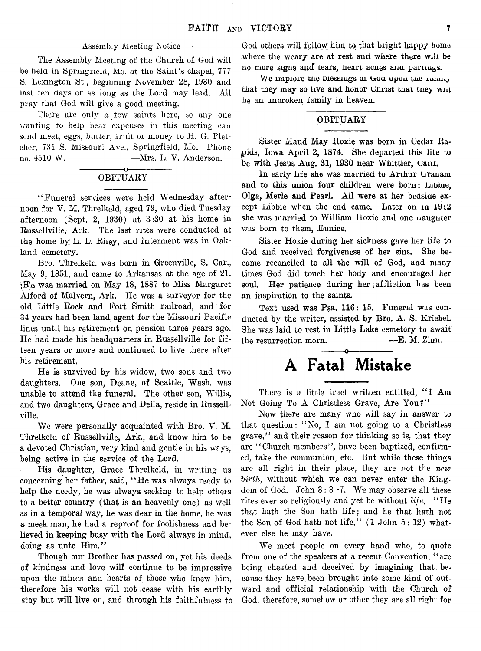#### Assembly Meeting Notice

The Assembly Meeting of the Church of God will be held in Springheid, Mo. at the Saint's chapel, 777 S. Lexington St., beginning November 28, 1980 and last ten days or as long as the Lord may lead. All pray that God will give a good meeting.

There are only a few saints here, so any one wanting to help bear expenses in this meeting can send meat, eggs, butter, fruit or money to H. G. Fletcher, 731 S. Missouri Ave., Springfield, Mo. Phone no. 4510 W. —Mrs. L. V. Anderson.

#### -----------------o----------------- OBITUARY

" Funeral services were held Wednesday afternoon for V. M. Threlkeld, aged 79, who died Tuesday afternoon (Sept. 2, 1930) at 3:30 at his home in Russellville, Ark. The last rites were conducted at the home by L. L. Riiey, and interment was in Oakland cemetery.

Bro. Threlkeld was born in Greenville, S. Car.. May 9, 1851, and came to Arkansas at the age of 21. •He was married on May 18, 1887 to Miss Margaret Alford of Malvern, Ark. He was a surveyor for the old Little Rock and Fort Smith railroad, and for 34 years had been land agent for the Missouri Pacific lines until his retirement on pension three years ago. He had made his headquarters in Russellville for fifteen years or more and continued to live there after his retirement.

He is survived by his widow, two sons and two daughters. One son, Deane, of Seattle, Wash, was unable to attend the funeral. The other son, Willis, and two daughters, Grace and Della, reside in Russellville.

We were personally acquainted with Bro. V. M. Threlkeld of Russellville, Ark., and know him to be a devoted Christian, very kind and gentle in his ways, being active in the service of the Lord.

His daughter, Grace Threlkeld, in writing us concerning her father, said, "He was always ready to help the needy, he was always seeking to help others to a better country (that is an heavenly one) as well as in a temporal way, he was dear in the home, he was a meek man, he had a reproof for foolishness and believed in keeping busy with the Lord always in mind, doing as unto Him."

Though our Brother has passed on, yet his deeds of kindness and love will continue to be impressive upon the minds and hearts of those who knew him, therefore his works will not cease with his earthly stay but will live on, and through his faithfulness to

God others will follow him to that bright happy home ,where the weary are at rest and where there will be no more signs and tears, heart acnes and partness.

We implore the biessings of God upon the ranny that they may so live and honor Unrist tnat they will be an unbroken family in heaven.

#### OBITUARY

Sister Maud May Hoxie was born in Cedar Rapids, Iowa April 2, 1874. She departed this life to be with Jesus Aug. 31, 1930 near Whittier, Canr.

In early life she was married to Arthur Granam and to this union four children were born: Lubbie, Olga, Merle and Pearl. All were at her bedside except Libbie when the end came. Later on in 1912 she was married to William Hoxie and one daughter was born to them, Eunice.

Sister Hoxie during her sickness gave her life to God and received forgiveness of her sins. She became reconciled to all the will of God, and many times God did touch her body and encouraged her soul. Her patience during her affliction has been an inspiration to the saints.

Text used was Psa. 116: 15. Funeral was conducted by the writer, assisted, by Bro. A. S. Kriebel. She was laid to rest in Little Lake cemetery to await the resurrection morn. — E. M. Zinn.

# A Fatal Mistake

There is a little tract written entitled, "I Am Not Going To A Christless Grave, Are You?"

Now there are many who will say in answer to that question: " No, I am not going to a Christless grave," and their reason for thinking so is, that they are "Church members", have been baptized, confirmed, take the communion, etc. But while these things are all right in their place, they are not the *new birth*, without which we can never enter the Kingdom of God. John  $3:3$  -7. We may observe all these rites ever so religiously and yet be without *life.* "He that hath the Son hath life; and he that hath not the Son of God hath not life," (1 John 5: 12) whatever else he may have.

We meet people on every hand who, to quote from one of the speakers at a recent Convention, " are being cheated and deceived by imagining that because they have been brought into some kind of outward and official relationship with the Church of God, therefore, somehow or other they are all right for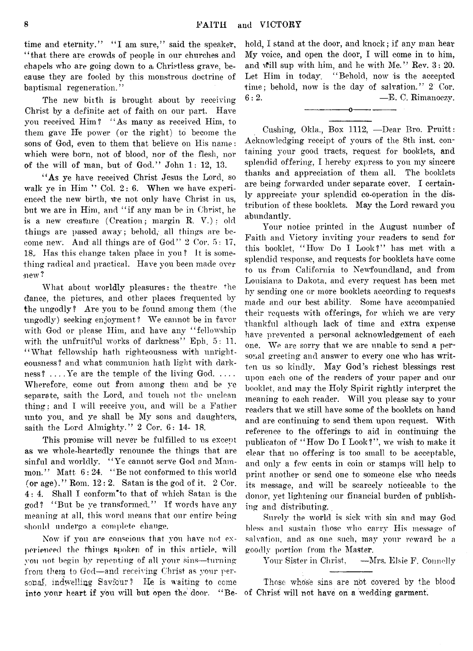time and eternity." "I am sure," said the speaker, "that there are crowds of people in our churches and chapels who are going down to a Christless grave, because they are fooled by this monstrous doctrine of baptismal regeneration. ' *'*

The new bitth is brought about by receiving Christ by a definite act of faith on our part. Have you received Him? "As many as received Him, to them gave He power (or the right) to become the sons of God, even to them that believe on His name: which were born, not of blood, nor of the flesh, nor of the will of man, but of God." John  $1: 12, 13$ .

"As ye have received Christ Jesus the Lord, so walk ye in Him " Col. 2: 6. When we have experienced the new birth, we not only have Christ in us, but we are in Him, and " if any man be in Christ, he is a new creakure (Creation; margin R. V.) : old things are passed away; behold, all things are become new. And all things are of God" 2 Cor. 5: 17, 18. Has this change taken place in you? It is something radical and practical. Have you been made over mew?

What about worldly pleasures: the theatre the dance, the pictures, and other places frequented by the ungodly ? Are you to be found among them (the ungodly) seeking enjoyment? We cannot be in favor with God or please Him, and have any "fellowship with the unfruitival works of darkness" Eph.  $5: 11$ . " What fellowship hath righteousness with unrighteousness? and what communion hath light with darkness?  $\dots$  Ye are the temple of the living God..... Wherefore, come out from among them and be ye separate, saith the Lord, and touch not the unclean thing; and I will receive you, and will be a Father unto you, and ye shall be My sons and daughters, saith the Lord Almighty." 2 Cor. 6: 14- 18.

This promise will never be fulfilled to us except as we whole-heartedly renounce the things that are sinful and worldly. "Ye cannot serve God and Mammon." Matt  $6:24.$  "Be not conformed to this world (or age)." Rom. 12: 2. Satan is the god of it. 2 Cor. 4: 4. Shall I conform<sup>\*</sup>to that of which Satan is the god? " But be ye transformed." If words have any meaning at all, this word means that our entire being should undergo a complete change.

Now if you are conscious that you have not ex**perienced the things spoken of in this article,** will **you not** begin by **repenting of** all your sins—turning from **them** to God— and receiving Christ as your personal, indwelling Saviour? He is waiting **to** come **into your heart if you** will but **open the door.** " Behold, I stand at the door, and knock; if any man hear My voice, and open the door, I will come in to him, and will sup with him, and he with Me." Rev.  $3: 20$ . Let Him in today, "Behold, now is the accepted time; behold, now is the day of salvation." 2 Cor.  $6:2.$  —E. C. Rimanoczy.

-----------------o----------------

Cushing, Okla., Box 1112, -Dear Bro. Pruitt: Acknowledging receipt of yours of the 8th inst. containing your good tracts, request for booklets, and splendid offering, I hereby express to you my sincere thanks and appreciation of them all. The booklets are being forwarded under separate cover. I certainly appreciate your splendid co-operation in the distribution of these booklets. May the Lord reward you abundantly.

Your notice printed in the August number of Faith and Victory inviting your readers to send for this booklet, "How Do I Look?" has met with a splendid response, and requests for booklets have come to us from California to Newfoundland, and from Louisiana to Dakota, and every request has been met hv sending one or more booklets according to requests made and our best ability. Some have accompanied their requests with offerings, for which we are very thankful although lack of time and extra expense have prevented a personal acknowledgement of each one. We are sorry that we are unable to send a personal greeting and answer to every one who has written us so kindly. May God's richest blessings rest upon each one of the readers of your paper and our booklet, and may the Holy Spirit rightly interpret the meaning to each reader. Will you please say to your readers that *we* still have some of the booklets on hand and are continuing to send them upon request. With reference to the offerings to aid in continuing the publicaton of "How Do I Look?", we wish to make it clear that no offering is too small to be acceptable, and only a few cents in coin or stamps will help to print another or send one to someone else who needs its message, and will be scarcely noticeable to the donor, yet lightening our financial burden of publishing and distributing.

Surely the world is sick with sin and may God bless and sustain those *who* carry His message of salvation, and as one such, may your reward be a goodly portion from the Master.

Your Sister in Christ, —Mrs. Elsie F. Connelly

Those whose sins **are** not **co\7ered by** the **blood** of Christ will not have on a wedding garment.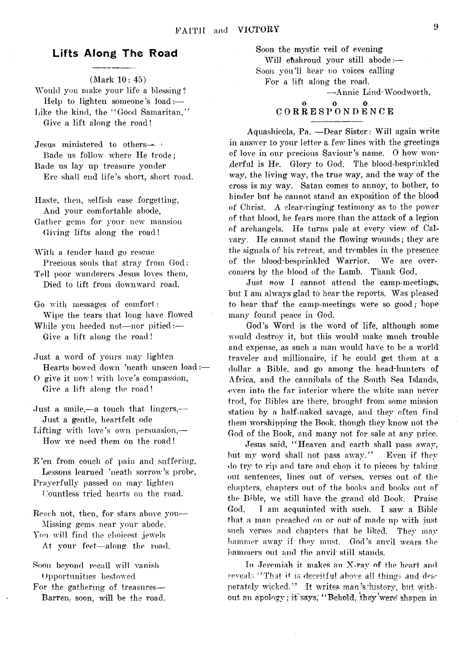## Lifts Along The Road

(Mark 10: 45) Would you make your life a blessing? Help to lighten someone's load:— Like the kind, the "Good Samaritan," Give a lift along the road!

Jesus ministered to others—-- *\* Bade us follow where He trode; Bade us lay up treasure yonder Ere shall end life's short, short road.

Haste, then, selfish ease forgetting, And your comfortable abode, Gather gems for your new mansion

Giving lifts along the road!

With a tender hand go rescue Precious souls that stray from God: Tell poor wanderers Jesus loves them, Died to lift from downward road.

Go with messages of comfort: Wipe the tears that long have flowed

While you heeded not—nor pitied :— Give a lift along the road!

Just a word of yours may lighten Hearts bowed down 'neath unseen load:—

0 give it now! with love's compassion, Give a lift along the road!

Just a smile,—a touch that lingers,— Just a gentle, heartfelt ode

Lifting with love's own persuasion,— How we need them on the road!

E 'en from couch of pain and suffering, Lessons learned 'neath sorrow's probe, Prayerfully passed on may lighten

Countless tried hearts on the road.

Reach not, then, for stars above you— Missing gems near your abode. You will find the choicest jewels

At your feet-along the road.

Soon beyond recall will vanish Opportunities bestowed

For the gathering of treasures—- Barren, soon, will be the road.

Soon the mystic veil of evening Will ehshroud your still abode:— Soon you'll hear no voices calling For a lift along the road.

—Annie Lind-Woodworth.

#### 0 0 0 CORRESPONDENCE

Aquashicola, Pa. — Dear Sister: Will again write in answer to your letter a few lines with the greetings of love in our precious Saviour's name. 0 how wonderful is He. Glory to God. The blood-besprinkled way, the living way, the true way, and the way of the cross is my way. Satan comes to annoy, to bother, to hinder but he cannot stand an exposition of the blood of Christ. A clear-ringing testimony as to the power of that blood, he fears more than the attack of a legion of archangels. He turns pale at.every view of Calvary. He cannot stand the flowing wounds; they are the signals of his retreat, and trembles in the presence of the blood-besprinkled Warrior. We are overcomers by the blood, of the Lamb. Thank God.

Just *now* I cannot attend the camp-meetings, but I am always glad to hear the reports. Was pleased to hear that the camp-meetings were so good; hope many found peace in God.

God's Word is the word of life, although some would destroy it, but this would make much trouble and expense, as such a man would have to be a world traveler and millionaire, if he could get them at a dollar a Bible, and go among the head-hunters of Africa, and the cannibals of the South Sea Islands, even into the far interior where the white man never trod, for Bibles are there, **brought** from, some mission station by a half-naked savage, and they often find them worshipping the Book, though they know not the God of the Book, and many not for sale at any price.

Jesus said, " Heaven and earth shall pass away, but my word shall not pass away." Even if they do try to rip and tare and chop it to pieces by taking out sentences, lines out of verses, verses out of the chapters, chapters out of the books and books out of the Bible, we still have the grand old Book. Praise God. I am acquainted with such. I saw a Bible that a man preached on or out' of made up with just such verses and chapters that he liked. They may hammer away if they must. God's anvil wears the hammers out and the anvil- still stands.

In Jeremiah it makes an X-ray of the heart and reveals "That it is deceitful above all things and desperately wicked." It writes man's history, but without an apology; it says, "Behold, they were shapen in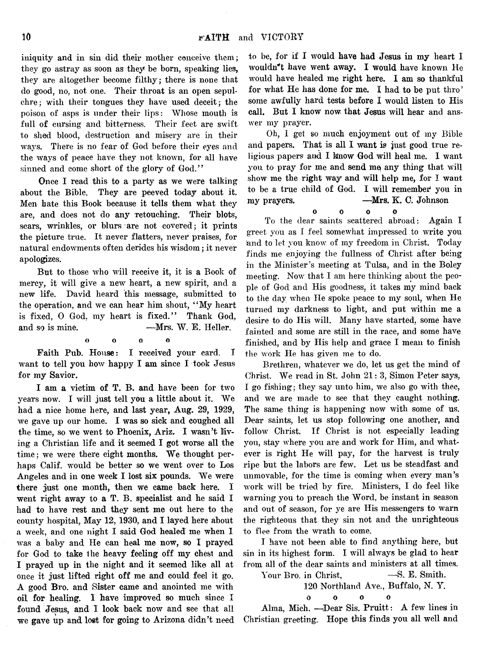iniquity and in sin did their mother conceive them; they go astray as soon as they be born, speaking lies, they are altogether become filthy; there is none that do good, no, not one. Their throat is an open sepulchre; with their tongues they have used deceit; the poison of asps is under their lips: Whose mouth is full of cursing and bitterness. Their feet are swift to shed blood, destruction and misery are in their ways. There is no fear of God before their eyes and the ways of peace have they not known, for all have sinned and come short of the glory of God."

Once I read this to a party as we were talking about the Bible. They are peeved today about it. Men hate this Book because it tells them what they are, and does not do any retouching. Their blots, sears, wrinkles, or blurs are not covered; it prints the picture true. It never flatters, never praises, for natural endowments often derides his wisdom; it never apologizes.

But to those who will receive it, it is a Book of mercy, it will give a new heart, a new spirit, and a new life. David heard this message, submitted to the operation, and we can hear him shout, " My heart is fixed,  $0$  God, my heart is fixed." Thank God, and so is mine. ——Mrs. W. E. Heller.

O o 0 o

Faith Pub. House: I received your card. I want to tell you how happy I am since I took Jesus for my Savior.

I am a victim of T. B. and have been for two years now. I will just tell you a little about it. We had a nice home here, and last year, Aug. 29, 1929, we gave up our home. I was so sick and coughed all the time, so we went to Phoenix, Ariz, I wasn't living a Christian life and it seemed I got worse all the time ; we were there eight months. We thought perhaps Calif, would be better so we went over to Los Angeles and in one week I lost six pounds. We were there just one month, then we came back here. I went right away to a T. B. specialist and he said I had to have rest and they sent me out here to the county hospital, May 12, 1930, and I layed here about a week, and one night I said God healed me when 1 was a baby and He can heal me now, so I prayed for God to take the heavy feeling off my chest and I prayed up in the night and it seemed like all at once it just lifted right off me and could feel it go. A good Bro. and Sister came and anointed me with oil for healing. I have improved so much since I found Jesus, and I look back now and see that all we gave up and lost for going to Arizona didn't need

to be, for if I would have had Jesus in my heart I wouldn't have went away. I would have known He would have healed me right here. I am so thankful for what He has done for me. I had to be put thro' some awfully hard tests before I would listen to His call. But I know now that Jesus will hear and answer my prayer.

Oh, I get so much enjoyment out of my Bible and papers. That is all I want is just good true religious papers and I know God will heal me. I want you to pray for me and send me any thing that will show me the right way and will help me, for I want to be a true child of God. I will remember you in my prayers. —Mrs. K. C. Johnson

 $\Omega$ oooo To the dear saints scattered abroad: Again I greet you as I feel somewhat impressed to write you land to let you know of my freedom in Christ. Today finds me enjoying the fullness of Christ after being in the Minister's meeting at Tulsa, and in the Boley meeting. Now that I am here thinking about the people of God and His goodness, it takes my mind back to the day when He spoke peace to my soul, when He turned my darkness to light, and put within me a desire to do His will. Many have started, some have fainted and some are still in the race, and some have finished, and by His help and grace I mean to finish the work He has given me to do.

Brethren, whatever we do, let us get the mind of Christ. We read in St. John 21: 3, Simon Peter says, I go fishing; they say unto him, we also go with thee, and we are made to see that they caught nothing. The same thing is happening now with some of us. Dear saints, let us stop following one another, and follow Christ. If Christ is not especially leading you, stay where you are and work for Him, and whatever is right He will pay, for the harvest is truly ripe but the labors are few. Let us be steadfast and unmovable, for the time is coming when every man's work will be tried by fire. Ministers, I do feel like warning you to preach the Word, be instant in season and out of season, for ye are His messengers to warn the righteous that they sin not and the unrighteous to flee from the wrath to come.

I have not been able to find anything here, but sin in its highest form. I will always be glad to hear from all of the dear saints and ministers at all times.

Your Bro. in Christ,  $-$ S. E. Smith.

120 Northland Ave., Buffalo, N. Y.

0 0 0 0

Alma, Mich. - Dear Sis. Pruitt: A few lines in Christian greeting. Hope this finds you all well and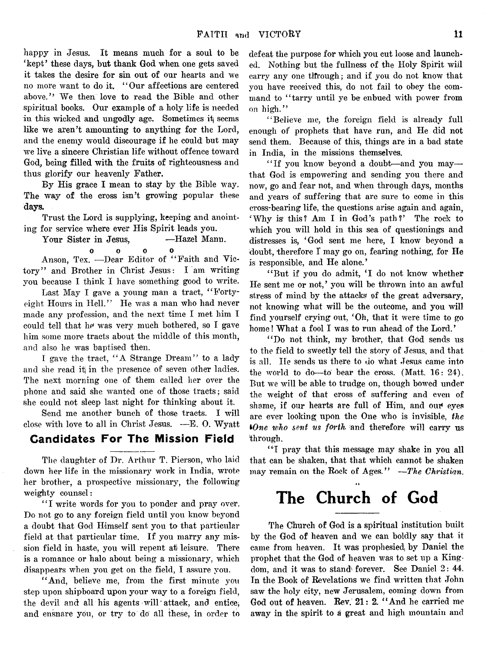happy in Jesus. It means much for a soul to be 'kept' these days, but thank God when one gets saved it takes the desire for sin out of our hearts and we no more want to do it. " Our affections are centered above." We then love to read the Bible and other spiritual books. Our example of a holy life is needed in this wicked and ungodly age. Sometimes it seems like we aren't amounting to anything for the Lord, and the enemy would discourage if he could but may we live a sincere Christian life without offence toward God, being filled with the fruits of righteousness and thus glorify our heavenly Father.

By His grace I mean to stay by the Bible way. The way of the cross isn't growing popular these days.

Trust the Lord is supplying, keeping and anointing for service where ever His Spirit leads you.

Your Sister in Jesus, -Hazel Mann.

o o o o

Anson, Tex. —Dear Editor of " Faith and Victory" and Brother in Christ Jesus: I am writing you because I think I have something good to write.

Last May I gave a young man a tract, "Fortyeight Hours in Hell." He was a man who had never made any profession, and the next time I met him I could tell that he was very much bothered, so I gave him some more tracts about the middle of this month, and also he was baptised then.

I gave the tract, " A Strange Dream" to a lady and she read it in the presence of seven other ladies. The next morning one of them called her over the phone and said she wanted one of those tracts; said she could not sleep last night for thinking about it.

Send me another bunch of those tracts. I will close with love to all in Christ Jesus. —E. 0. Wyatt

## Candidates For The Mission Field

The daughter of Dr. Arthur T. Pierson, who laid dowrn her life in the missionary work in India, wrote her brother, a prospective missionary, the following weighty counsel:

"I write words for you to ponder and pray over. Do not go to any foreign field until you know beyond a doubt that God Himself sent you to that particular field at that particular time. If you marry any mission field in haste, you will repent at leisure. There is a romance or halo about being a missionary, which disappears when you get on the field, I assure you.

"And, believe me, from the first minute you step upon shipboard upon your way to a foreign field, the devil and all his agents will attack, and entice; and ensnare you, or try to do all these, in order to defeat the purpose for which you cut loose and launched. Nothing but the fullness of the Holy Spirit will  $\alpha$  carry any one through; and if you do not know that you have received this, do not fail to obey the command to "tarry until ye be enbued with power from on high."

" Believe me, the foreign field is already full enough of prophets that have run, and He did not send them. Because of this, things are in a bad state in India, in the missions themselves.

"If you know beyond a doubt-and you maythat God is empowering and sending you there and now, go and fear not, and when through days, months and years of suffering that are sure to come in this cross-bearing life, the questions arise again and again, ' Why is this? Am I in God's path?' The rock to which you will hold in this sea of questionings and distresses is, 'God sent me here, I know beyond a doubt, therefore I may go on, fearing nothing, for He is responsible, and He alone.'

"But if you do admit, 'I do not know whether He sent me or not,' you will be thrown into an awful stress of mind by the attacks of the great adversary, not knowing what will be the outcome, and you will find yourself crying out, 'Oh, that it were time to go home! What a fool I was to run ahead of the Lord.'

" Do not think, my brother, that God sends us to the field to sweetly tell the story of Jesus, and that is all. He sends us there to do what Jesus came into the world to do—to bear the cross. (Matt. 16: 24). But we will be able to trudge on, though bowed under the weight of that cross of suffering and even of shame, if our hearts are full of Him, and our eyes are ever looking upon the One who is invisible, *the tOne who sent us forth* and therefore will carry us through.

"I pray that this message may shake in you all that can be shaken, that that which cannot be shaken may remain on the Rock of Ages." *— The Christian.*

# The Church of God

The Church of God is a spiritual institution built by the God of heaven and we can boldly say that it came from heaven. It was prophesied, by Daniel the prophet that the God of heaven was to set up a Kingdom, and it was to stand' forever. See Daniel 2: 44. In the Book of Revelations we find written that John saw the holy city, new Jerusalem, coming down from God out of heaven. Rev. 21: 2. "And he carried me away in the spirit to a great and high mountain and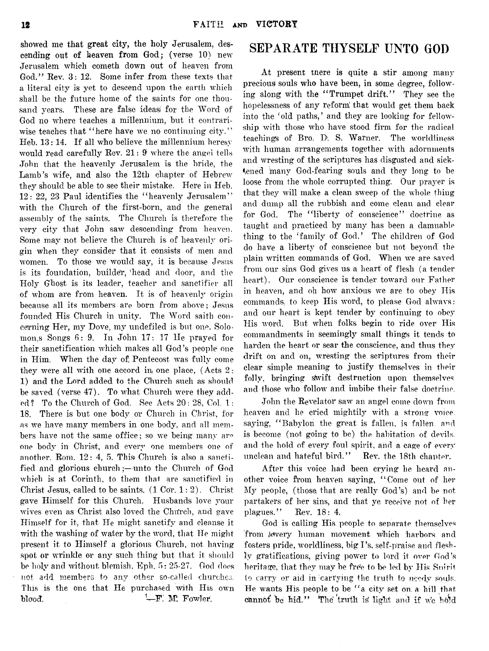showed me that great city, the holy Jerusalem, descending out of heaven from God; (verse 10) new Jerusalem which cometh down out of heaven from God." Rev. 3: 12. Some infer from these texts that a literal city is yet to descend upon the earth which shall be the future home of the saints for one thousand years. These are false ideas for the Word of God no where teaches a millennium, but it contrariwise teaches that "here have we no continuing city." Heb. 13:14. If all who believe the millennium heresy would read carefully Rev. 21: 9' where the angel tells John that the heavenly Jerusalem is the bride, the Lamb's wife, and also the 12th chapter of Hebrew they should be able to see their mistake. Here in Heb. 12: 22, 23 Paul identifies the " heavenly Jerusalem" with the Church of the first-born, and the general assembly of the saints. The Church is therefore the very city that John saw descending from heaven. Some may not believe the Church is of heavenly origin when they consider that it consists of men and women. To those we would say, it is because Jesus is its foundation, builder, head and door, and the Holy Ghost is its leader, teacher and sanctifier all of whom are from heaven. It is of heavenly origin because all its members are born from above; Jesus founded His Church in unity. The Word saith concerning Her, my Dove, my undefiled is but one. Solomon, s Songs  $6: 9$ . In John 17: 17 He prayed for their sanctification which makes all God's people one in Him. When the day of, Pentecost was fully come they were all with one accord in one place, (Acts 2: 1) and the Lord added to the Church such as should be saved (verse 47). To what. Church were they added? To the Church of God. Sec Acts 20: 28, Col. 1: 18. There is but one body or Church in Christ, for as we have many members in one body, and all members have not the same office; so we being many are one body in Christ, and every one members one of another. Rom. 12: 4, 5. This Church is also a sanctified and glorious church;—unto the Church of God which is at Corinth, to them that are sanctified in Christ Jesus, called to be saints.  $(1 \text{ Cor. } 1:2)$ . Christ gave Himself for this Church. Husbands love your wives even as Christ also loved the Church, and gave Himself for it, that He might sanctify and cleanse it with the washing of water by the word, that He might present it to Himself a glorious Church, not. having spot or wrinkle or any such thing but that it should be holy and without blemish. Eph. 5: 25-27. God does not add members to any other so-called churches. This is the one that He purchased with His own blood.  $\leftarrow$  F. M. Fowler.

## **SEPARATE THYSELF UNTO GOD**

At present tnere is quite a stir among many precious souls who have been, in some degree, following along with the " Trumpet drift." They see the hopelessness of any reform! that would get them back into the 'old paths,' and they are looking for fellowship with those who have stood firm for the radical teachings of Bro. D. S. Warner. The worldliness with human arrangements together with adornments and wresting of the scriptures has disgusted and sickened many God-fearing souls and they long to be loose from the whole corrupted thing. Our prayer is that they will make a clean sweep of the whole thing and dump all the rubbish and come clean and clear for God. The "liberty of conscience" doctrine as taught and practiced by many has been a damnable thing to the 'family of God.' The children of God do have a liberty of conscience but not beyond, the plain written commands of God. When we are saved from our sins God gives us a heart of flesh (a tender heart). Our conscience is tender toward our Father in heaven, and oh how anxious we are to obey His commands, to keep His word, to please God always: and our heart is kept tender by continuing to obey His word. But when folks begin to ride over His commandments in seemingly small things it tends to harden the heart or sear the conscience, and thus they drift on and on, wresting the scriptures from their clear simple meaning to justify themselves in their folly, bringing swift destruction upon themselves and those who follow and imbibe their false doctrine.

John the Revelator saw an angel come down from heaven and he cried mightily with a strong voice. saying, "Babylon the great is fallen, is fallen, and is become (not going to be) the habitation of devils, and the hold of every foul spirit, and a cage of every unclean and hateful bird." Rev. the 18th chapter.

After this voice had been crying he heard another voice from heaven saying, " Come out of her My people, (those that are really God's) and be not partakers of her sins, and that ye receive not of her plagues." Rev. 18: 4.

God is calling His people to separate themselves from tevery human movement which harbors and fosters pride, worldliness, big I's, self-praise and fleshly gratifications, giving power to lord it over God's heritage, that they may he free to be led by His Snirit. to carry or aid in carrying the truth to needy souls. He wants His people to be " a city set on, a hill that cannot be hid." The truth is light and if we hold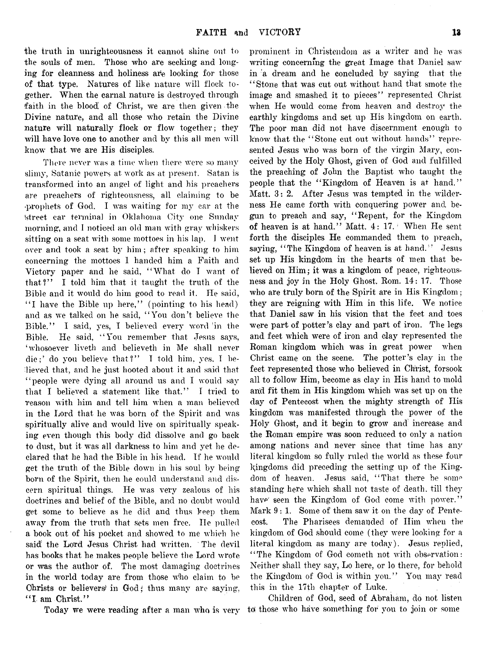the truth in unrighteousness it cannot shine out to the souls of men. Those who are seeking and longing for cleanness and holiness are looking for those of that type. Natures of like nature will flock together. When the carnal nature is destroyed through faith in the blood of Christ, we are then given the Divine nature, and all those who retain the Divine nature will naturally flock or flow together; they will have love one to another and by this all men will know' that we are His disciples.

There never was a time when there were so many slimy, Satanic powers at work as at present. Satan is transformed into an angel of light and his preachers are preachers of righteousness, all claiming to be •prophets of God. I was waiting for my car at the street car terminal in Oklahoma City one Sunday morning, and I noticed an old man with gray whiskers sitting on a seat with some mottoes in his lap. I went over and took a seat by him; after speaking to him concerning the mottoes 1 handed him a Faith and Victory paper and he said, " What do T want of that?" I told him that it taught the truth of the Bible and it would do him good to read it. He said, "I have the Bible up here," (pointing to his head) and as we talked on he said, " You don't believe the Bible." I said, yes, I believed every word in the Bible. He said, " You remember that Jesus says, ' whosoever liveth and believeth in Me shall never die;' do you believe that?" I told him, yes, I believed that, and he just hooted about it and said that " people were dying all around us and I would say that I believed a statement like that." I tried to reason with him and tell him when a man believed in the Lord that he was born of the Spirit and was spiritually alive and would live on spiritually speaking even though this body did dissolve and go back to dust, but it was all darkness to him and yet he declared that he had the Bible in his head. If he would get the truth of the Bible down in his soul by being born of the Spirit, then he could understand and discern spiritual things. He was very zealous of his doctrines and belief of the Bible, and no doubt would get some to believe as he did and thus keep them away from the truth that sets men free. He pulled a book out of his pocket and showed to me which he said' the Lord Jesus Christ had written. The devil has books that he makes people believe the Lord wrote or was the author of. The most damaging doctrines in the world today are from those who claim to be Christs or believers' in God; thus many are saying, "I am Christ."

Today we were reading after a man who is very

prominent in Christendom as a writer and he was writing concerning the great Image that Daniel saw in a dream and he concluded by saying that the ' ' Stone that was cut out without hand that smote the image and smashed it to pieces" represented Christ when He would come from heaven and destroy the earthly kingdoms and set up His kingdom on earth. The poor man did not have discernment enough to know that the "Stone eut out without hands" represented Jesus who was born of the virgin Mary, conceived by the Holy Ghost, given of God and fulfilled the preaching of John the Baptist who taught the people that the "Kingdom of Heaven is at hand." Matt. 3: 2. After Jesus was tempted in the wilderness He came forth with conquering power and begun to preach and say, " Repent, for the Kingdom of heaven is at hand." Matt. 4: 17. When He sent forth the disciples He commanded them to preach, saying, "The Kingdom of heaven is at hand." Jesus set up His kingdom in the hearts of men that believed on Him ; it was a kingdom of peace, righteousness and joy in the Holy Ghost. Rom. 14: 17. Those who are truly born of the Spirit are in His Kingdom ; they are reigning with Him in this life. We notice that Daniel saw in his vision that the feet and toes were part of potter's clay and part of iron. The legs and feet which were of iron and clay represented the Roman kingdom which was in great power when Christ came on the scene. The potter's clay in the feet represented those who believed in Christ, forsook all to follow Him, become as clay in His hand to mold and fit them in His kingdom which was set up on the day of Pentecost when the mighty strength of His kingdom was manifested through the power of the Holy Ghost, and it begin to grow and? increase and the Roman empire was soon reduced to only a nation among nations and never since that time has any literal kingdom so fully ruled the world as these four kingdoms did preceding the setting up of the Kingdom of heaven. Jesus said, " That there be some standing here which shall not taste of death, till they have seen the Kingdom of God come with power." Mark 9:1. Some of them saw it on the day of Pentecost. The Pharisees demanded of Him when the kingdom of God should come (they were looking for a literal kingdom as many are today). Jesus replied, "The Kingdom of God cometh not with observation: Neither shall they say, Lo here, or lo there, for behold the Kingdom of God is within you." You may read this in the 17th chapter of Luke.

Children of God, seed of Abraham, do not listen to those who have something for you to join or some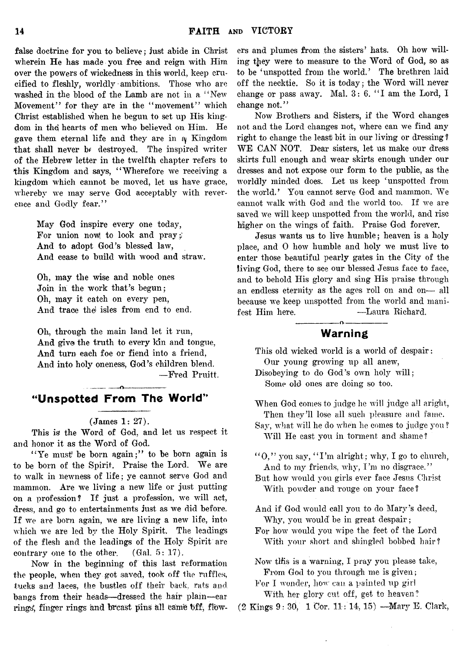false doctrine for you to believe; just abide in Christ wherein He has made you free and reign with Him over the powers of wickedness in this world, keep crucified to fleshly, worldly ambitions. Those who are washed in the blood of the Lamb are not in a "New Movement" for they are in the "movement" which Christ established when he begun to set up His kingdom in the hearts of men who believed on Him. He gave them eternal life and they are in  $\alpha$  Kingdom that shall never b*f* destroyed. The inspired writer of the Hebrew letter in the twelfth chapter refers to this Kingdom and says, "Wherefore we receiving a kingdom which cannot be moved, let us have grace, whereby we may serve God acceptably with reverence and Godly fear."

> May God inspire every one today, For union now to look and pray; And to adopt God's blessed law, And cease to build with wood and straw.

Oh, may the wise and noble ones Join in the work that's begun; Oh, may it catch on every pen, And trace the isles from end to end.

Oh, through the main land let it run, And give the truth to every kin and tongue, And turn each foe or fiend into a friend, And into holy oneness, God's children blend. — Fred Pruitt.

-------------n---------------- "Unspotted From The World"

### (James 1: 27).

This is the Word of God, and let us respect it and honor it as the Word of God.

"Ye must be born again;" to be born again is to be born of the Spirit. Praise the Lord. We are to walk in newness of life ; ye cannot serve God and mammon. Are we living a new life or just putting on a profession ? If just a profession, we will act, dress, and go to entertainments just as we did before. If we are bom again, we are living a new life, into which we are led by the Holy Spirit. The leadings of the flesh and the leadings of the Holy Spirit are contrary one to the other. (Gal. 5: 17).

Now in the beginning of this last reformation the people, when they got saved, took off the ruffles, tucks and laces, the bustles off their back, rats and bangs from their heads— dressed the hair plain—ear rings, finger rings and breast pins all came bff, flowers and plumes from the sisters' hats. Oh how willing they were to measure to the Word of God, so as to be 'unspotted from the world.' The brethren laid off the necktie. So it is today; the Word will never change or pass away. Mal.  $3: 6.$  "I am the Lord, I change not."

Now Brothers and Sisters, if the Word changes not and the Lord changes not, where can we find any right to change the least bit in our living or dressing ? WE CAN NOT. Dear sisters, let us make our dress skirts full enough and wear skirts enough under our dresses and not expose our form to the public, as the worldly minded does. Let us keep 'unspotted from the world.' You cannot serve God and mammon. We cannot walk with God and the world too. If we are saved we will keep unspotted from the world, and rise higher on the wings of faith. Praise God forever.

Jesus wants us to live humble; heaven is a holy place, and 0 how humble and holy we must live to enter those beautiful pearly gates in the City of the living God, there to see our blessed Jesus face to face, and to behold His glory and sing His praise through an endless eternity as the ages roll on and on— all because we keep unspotted from the world and manifest Him here. - - - - - Laura Richard.

## ----------------- o---------------- Warning

This old wicked world is a world of despair: Our young growing up all anew,

Disobeying to do God's own holy will; Some old ones are doing so too.

When God comes to judge he will judge all aright, Then they'll lose all such pleasure and fame.

Say, what will he do when he comes to judge you ? Will He cast you in torment and shame?

 $40$ ," you say,  $41'm$  alright; why, I go to church, And to my friends, why, I'm no disgrace."

- But how would you girls ever face Jesus Christ With powder and rouge on your face ?
- And if God would call you to do Alary's deed, Why, you would' be in great despair;
- For how would you wipe the feet of the Lord With your short and shingled bobbed hair?
- Now this is a warning, I pray you please take, From God to you through me is given;

For I wonder, how can a painted up girl With her glory cut off, get to heaven?

 $(2 \text{ Kings } 9: 30, 1 \text{ Cor. } 11:14, 15)$  --Mary E. Clark,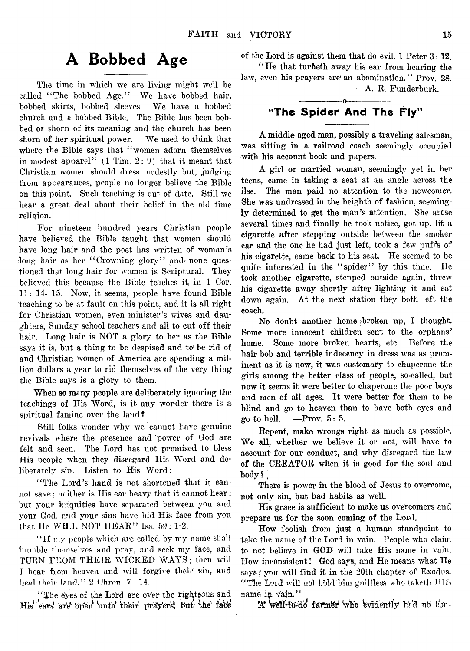# A Bobbed Age

The time in which we are living might well be called "The bobbed Age." We have bobbed hair, bobbed skirts, bobbed sleeves. We have a bobbed church and a bobbed Bible. The Bible has been bobbed or shorn of its meaning and the church has been shorn of her spiritual power. We used to think that where the Bible says that "women adorn themselves in modest apparel"  $(1$  Tim.  $2:9$ ) that it meant that Christian women should dress modestly but, judging from appearances, people no longer believe the Bible on this point. Such teaching is out of date. Still we hear a great deal about their belief in the old time religion.

For nineteen hundred years Christian people have believed the Bible taught that women should have long hair and the poet has written of woman's long hair as her "Crowning glory" and none questioned that long hair for women is Scriptural. They believed this because the Bible teaches it in 1 Cor. 11: 14- 15. Now, it seems, people have found Bible teaching to be at fault on this point, and it is all right for Christian women, even minister's wives and daughters, Sunday school teachers and all to cut off their hair. Long hair is NOT a glory to her as the Bible says it is, but a thing to be despised and to be rid of and Christian women of America are spending a million dollars a year to rid themselves of the very thing the Bible says is a glory to them.

When so many people are deliberately ignoring the teachings of His Word, is it any wonder there is a spiritual famine over the land?

Still folks wonder why we cannot have genuine revivals where the presence and power of God are felt and seen. The Lord has not promised to bless His people when they disregard His Word and deliberately sin. Listen to His Word:

"The Lord's hand is not shortened that it cannot save: neither is His ear heavy that it cannot hear; but your iniquities have separated between you and your God. end your sins have hid His face from you that He WILL NOT HEAR" Isa.  $59:1-2$ .

"If my people which are called by my name shall bumble themselves and pray, and seek my face, and TURN FROM THEIR WICKED WAYS; then will I hear from heaven and will forgive their sin, and heal their land." 2 Chron. 7: 14.

"The eyes of the Lord are over the righteous and His ears are open unto their prayers; but the face of the Lord is against them that do evil. 1 Peter 3:12.

" He that turheth away his ear from hearing the law, even his prayers are an abomination." Prov. 28. — A. R. Funderburk.

## ---------------- o—------------- "The Spider And The Fly"

A middle aged man, possibly a traveling salesman, was sitting in a railroad coach seemingly occupied with his account book and papers.

A girl or married woman, seemingly yet in her teens, came in taking a seat at an angle across the ilse. The man paid no attention to the newcomer. She was undressed in the heighth of fashion, seemingly determined to get the man's attention. She arose several times and finally he took notice, got up, lit a cigarette after stepping outside between the smoker car and the one he had just left, took a few puffs of his cigarette, came back to his seat. He seemed to be quite interested in the "spider" by this time. He took another cigarette, stepped outside again, threw his cigarette away shortly after lighting it and sat down again. At the next station they both left the coach.

No doubt another home broken up, I thought. Some more innocent children sent to the orphans' home. Some more broken hearts, etc. Before the hair-bob and terrible indecency in dress was as prominent as it is now, it was customary to chaperone the girls among the better class of people, so-called, but now it seems it were better to chaperone the poor boys and men of all ages. It were better for them to he blind and go to heaven than to have both eyes and go to hell.  $-$ Prov.  $5:5$ .

Repent, make wrongs right as much as possible. We all, whether we believe it or not, will have to account for our conduct, and why disregard the law of the CREATOR when it is good for the sool and body?

There is power in the blood of Jesus to overcome, not only sin, but bad habits as well.

His grace is sufficient to make us overcomers and prepare us for the soon coming of the Lord.

How foolish from just a human standpoint to take the name of the Lord in vain. People who claim to not believe in GOD will take His name in vain. How inconsistent! God says, and He means what He says; you will find it in the 20th chapter of Exodus, "The Lord will not hold him guiltless who taketh HIS name in vain."

'A well-to-do farmer who evidently had no con-